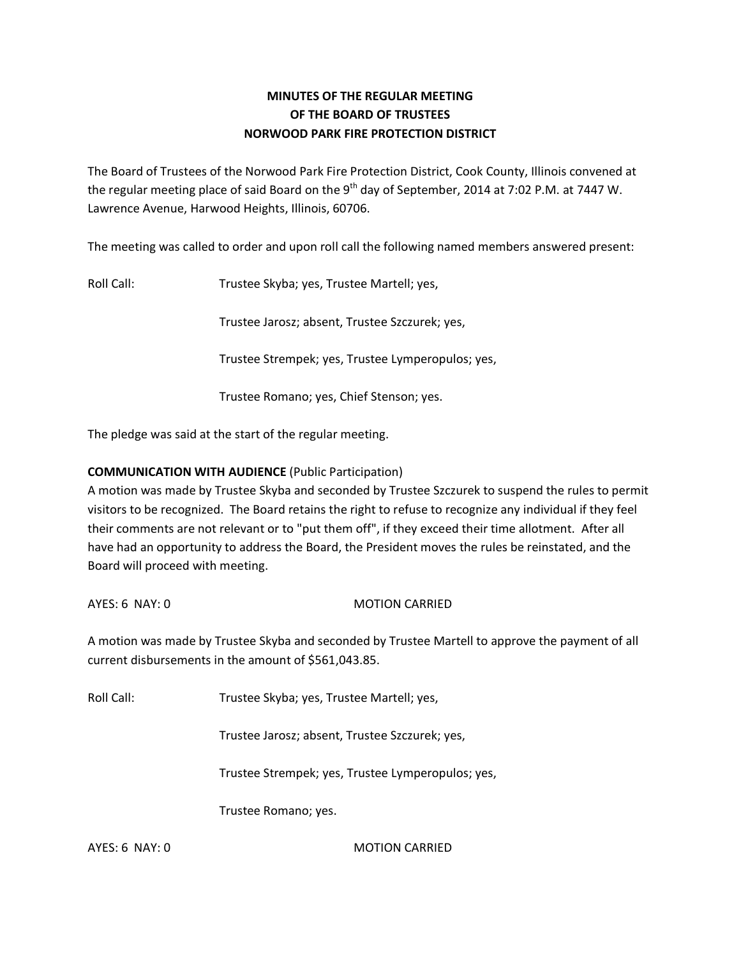# **MINUTES OF THE REGULAR MEETING OF THE BOARD OF TRUSTEES NORWOOD PARK FIRE PROTECTION DISTRICT**

The Board of Trustees of the Norwood Park Fire Protection District, Cook County, Illinois convened at the regular meeting place of said Board on the 9<sup>th</sup> day of September, 2014 at 7:02 P.M. at 7447 W. Lawrence Avenue, Harwood Heights, Illinois, 60706.

The meeting was called to order and upon roll call the following named members answered present:

Roll Call: Trustee Skyba; yes, Trustee Martell; yes,

Trustee Jarosz; absent, Trustee Szczurek; yes,

Trustee Strempek; yes, Trustee Lymperopulos; yes,

Trustee Romano; yes, Chief Stenson; yes.

The pledge was said at the start of the regular meeting.

### **COMMUNICATION WITH AUDIENCE** (Public Participation)

A motion was made by Trustee Skyba and seconded by Trustee Szczurek to suspend the rules to permit visitors to be recognized. The Board retains the right to refuse to recognize any individual if they feel their comments are not relevant or to "put them off", if they exceed their time allotment. After all have had an opportunity to address the Board, the President moves the rules be reinstated, and the Board will proceed with meeting.

AYES: 6 NAY: 0 MOTION CARRIED

A motion was made by Trustee Skyba and seconded by Trustee Martell to approve the payment of all current disbursements in the amount of \$561,043.85.

Roll Call: Trustee Skyba; yes, Trustee Martell; yes,

Trustee Jarosz; absent, Trustee Szczurek; yes,

Trustee Strempek; yes, Trustee Lymperopulos; yes,

Trustee Romano; yes.

AYES: 6 NAY: 0 MOTION CARRIED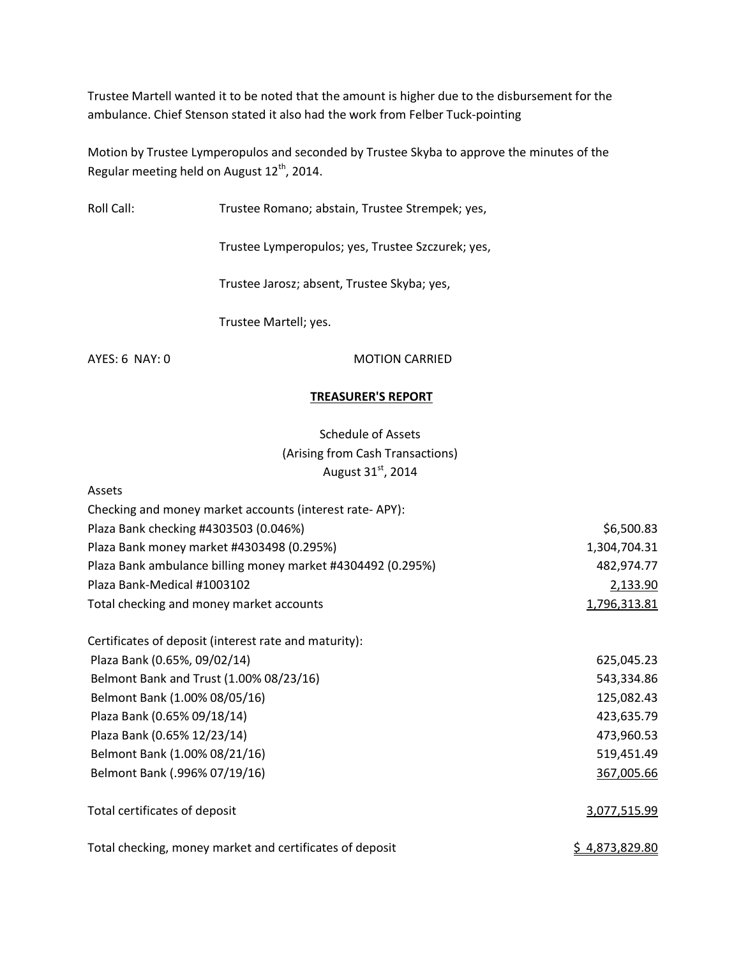Trustee Martell wanted it to be noted that the amount is higher due to the disbursement for the ambulance. Chief Stenson stated it also had the work from Felber Tuck-pointing

Motion by Trustee Lymperopulos and seconded by Trustee Skyba to approve the minutes of the Regular meeting held on August  $12^{th}$ , 2014.

Roll Call: Trustee Romano; abstain, Trustee Strempek; yes,

Trustee Lymperopulos; yes, Trustee Szczurek; yes,

Trustee Jarosz; absent, Trustee Skyba; yes,

Trustee Martell; yes.

Assets

AYES: 6 NAY: 0 MOTION CARRIED

### **TREASURER'S REPORT**

Schedule of Assets (Arising from Cash Transactions) August 31st, 2014

| Checking and money market accounts (interest rate-APY):     |                |
|-------------------------------------------------------------|----------------|
| Plaza Bank checking #4303503 (0.046%)                       | \$6,500.83     |
| Plaza Bank money market #4303498 (0.295%)                   | 1,304,704.31   |
| Plaza Bank ambulance billing money market #4304492 (0.295%) | 482,974.77     |
| Plaza Bank-Medical #1003102                                 | 2,133.90       |
| Total checking and money market accounts                    | 1,796,313.81   |
| Certificates of deposit (interest rate and maturity):       |                |
| Plaza Bank (0.65%, 09/02/14)                                | 625,045.23     |
| Belmont Bank and Trust (1.00% 08/23/16)                     | 543,334.86     |
| Belmont Bank (1.00% 08/05/16)                               | 125,082.43     |
| Plaza Bank (0.65% 09/18/14)                                 | 423,635.79     |
| Plaza Bank (0.65% 12/23/14)                                 | 473,960.53     |
| Belmont Bank (1.00% 08/21/16)                               | 519,451.49     |
| Belmont Bank (.996% 07/19/16)                               | 367,005.66     |
| Total certificates of deposit                               | 3,077,515.99   |
| Total checking, money market and certificates of deposit    | \$4,873,829.80 |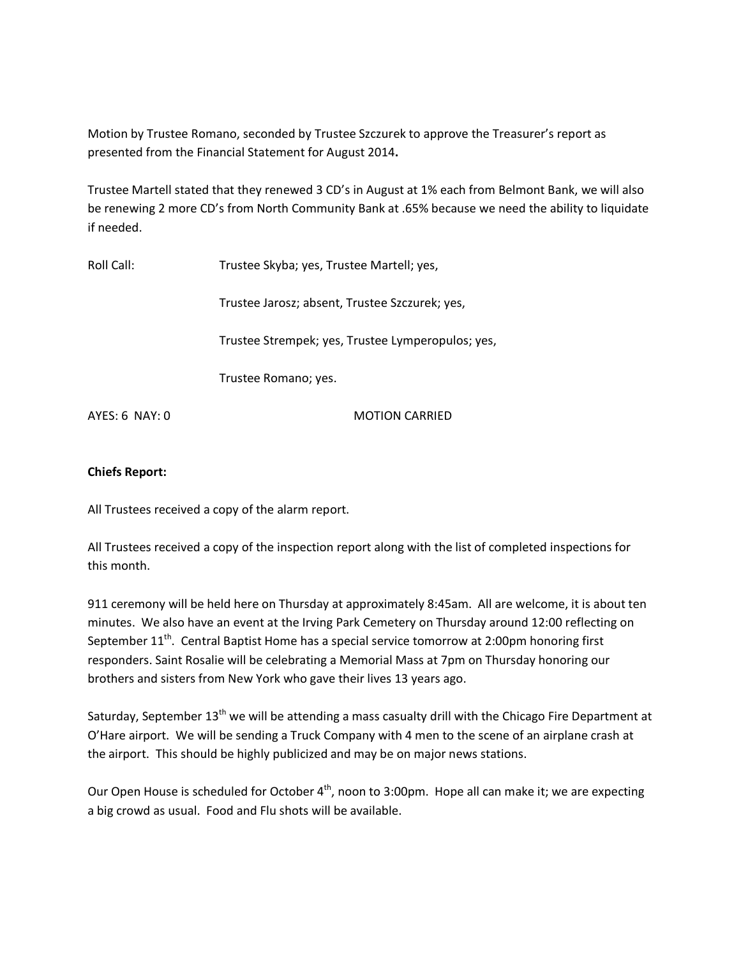Motion by Trustee Romano, seconded by Trustee Szczurek to approve the Treasurer's report as presented from the Financial Statement for August 2014**.** 

Trustee Martell stated that they renewed 3 CD's in August at 1% each from Belmont Bank, we will also be renewing 2 more CD's from North Community Bank at .65% because we need the ability to liquidate if needed.

| Roll Call:       | Trustee Skyba; yes, Trustee Martell; yes,         |
|------------------|---------------------------------------------------|
|                  | Trustee Jarosz; absent, Trustee Szczurek; yes,    |
|                  | Trustee Strempek; yes, Trustee Lymperopulos; yes, |
|                  | Trustee Romano; yes.                              |
| $AYES: 6$ NAY: 0 | <b>MOTION CARRIED</b>                             |

### **Chiefs Report:**

All Trustees received a copy of the alarm report.

All Trustees received a copy of the inspection report along with the list of completed inspections for this month.

911 ceremony will be held here on Thursday at approximately 8:45am. All are welcome, it is about ten minutes. We also have an event at the Irving Park Cemetery on Thursday around 12:00 reflecting on September 11<sup>th</sup>. Central Baptist Home has a special service tomorrow at 2:00pm honoring first responders. Saint Rosalie will be celebrating a Memorial Mass at 7pm on Thursday honoring our brothers and sisters from New York who gave their lives 13 years ago.

Saturday, September  $13<sup>th</sup>$  we will be attending a mass casualty drill with the Chicago Fire Department at O'Hare airport. We will be sending a Truck Company with 4 men to the scene of an airplane crash at the airport. This should be highly publicized and may be on major news stations.

Our Open House is scheduled for October 4<sup>th</sup>, noon to 3:00pm. Hope all can make it; we are expecting a big crowd as usual. Food and Flu shots will be available.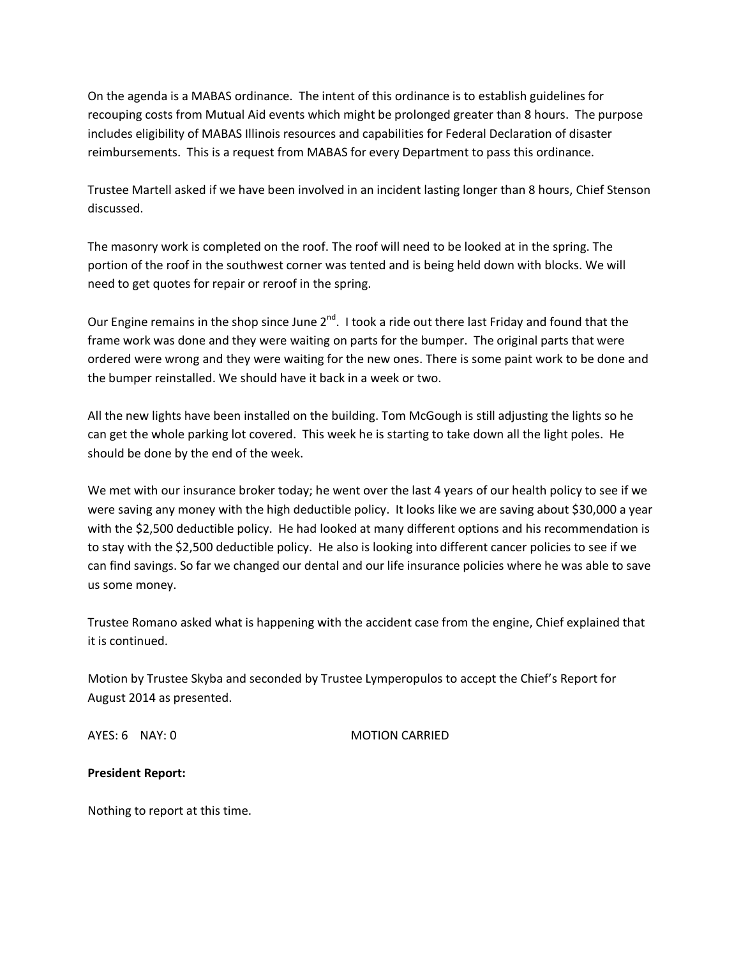On the agenda is a MABAS ordinance. The intent of this ordinance is to establish guidelines for recouping costs from Mutual Aid events which might be prolonged greater than 8 hours. The purpose includes eligibility of MABAS Illinois resources and capabilities for Federal Declaration of disaster reimbursements. This is a request from MABAS for every Department to pass this ordinance.

Trustee Martell asked if we have been involved in an incident lasting longer than 8 hours, Chief Stenson discussed.

The masonry work is completed on the roof. The roof will need to be looked at in the spring. The portion of the roof in the southwest corner was tented and is being held down with blocks. We will need to get quotes for repair or reroof in the spring.

Our Engine remains in the shop since June 2<sup>nd</sup>. I took a ride out there last Friday and found that the frame work was done and they were waiting on parts for the bumper. The original parts that were ordered were wrong and they were waiting for the new ones. There is some paint work to be done and the bumper reinstalled. We should have it back in a week or two.

All the new lights have been installed on the building. Tom McGough is still adjusting the lights so he can get the whole parking lot covered. This week he is starting to take down all the light poles. He should be done by the end of the week.

We met with our insurance broker today; he went over the last 4 years of our health policy to see if we were saving any money with the high deductible policy. It looks like we are saving about \$30,000 a year with the \$2,500 deductible policy. He had looked at many different options and his recommendation is to stay with the \$2,500 deductible policy. He also is looking into different cancer policies to see if we can find savings. So far we changed our dental and our life insurance policies where he was able to save us some money.

Trustee Romano asked what is happening with the accident case from the engine, Chief explained that it is continued.

Motion by Trustee Skyba and seconded by Trustee Lymperopulos to accept the Chief's Report for August 2014 as presented.

AYES: 6 NAY: 0 MOTION CARRIED

## **President Report:**

Nothing to report at this time.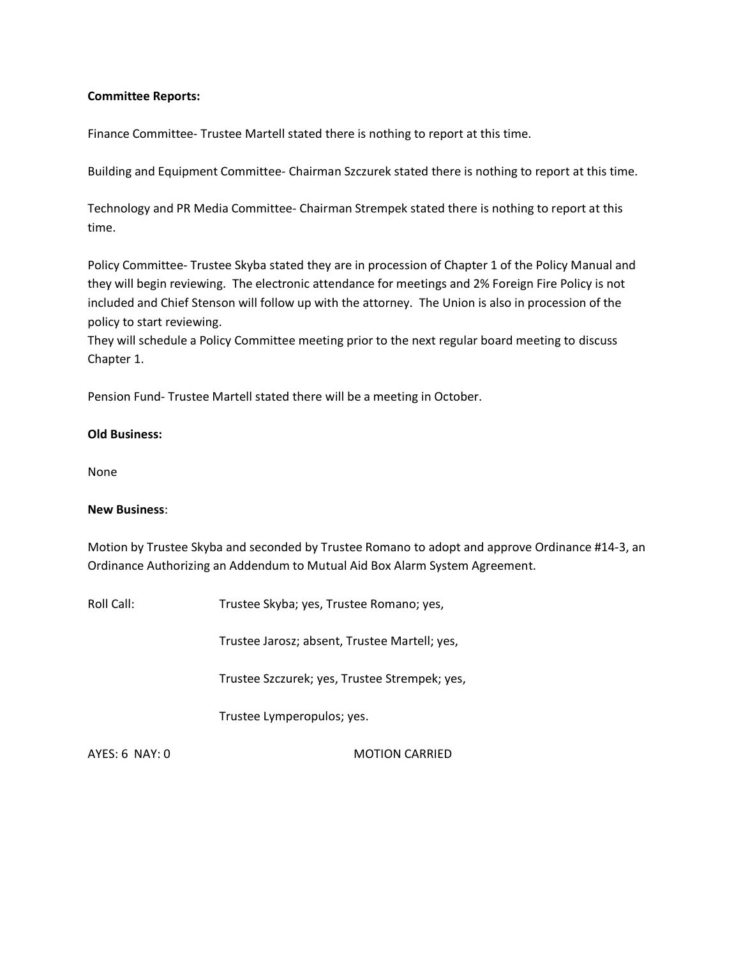### **Committee Reports:**

Finance Committee- Trustee Martell stated there is nothing to report at this time.

Building and Equipment Committee- Chairman Szczurek stated there is nothing to report at this time.

Technology and PR Media Committee- Chairman Strempek stated there is nothing to report at this time.

Policy Committee- Trustee Skyba stated they are in procession of Chapter 1 of the Policy Manual and they will begin reviewing. The electronic attendance for meetings and 2% Foreign Fire Policy is not included and Chief Stenson will follow up with the attorney. The Union is also in procession of the policy to start reviewing.

They will schedule a Policy Committee meeting prior to the next regular board meeting to discuss Chapter 1.

Pension Fund- Trustee Martell stated there will be a meeting in October.

### **Old Business:**

None

#### **New Business**:

Motion by Trustee Skyba and seconded by Trustee Romano to adopt and approve Ordinance #14-3, an Ordinance Authorizing an Addendum to Mutual Aid Box Alarm System Agreement.

Roll Call: Trustee Skyba; yes, Trustee Romano; yes,

Trustee Jarosz; absent, Trustee Martell; yes,

Trustee Szczurek; yes, Trustee Strempek; yes,

Trustee Lymperopulos; yes.

AYES: 6 NAY: 0 MOTION CARRIED